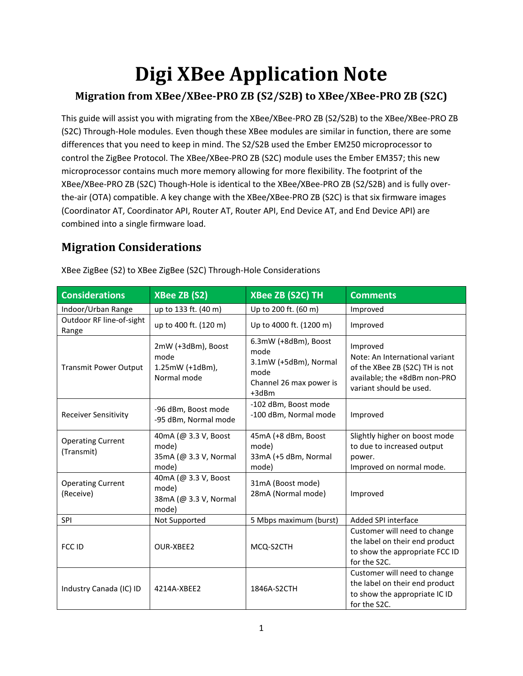# **Digi XBee Application Note**

#### **Migration from XBee/XBee-PRO ZB (S2/S2B) to XBee/XBee-PRO ZB (S2C)**

This guide will assist you with migrating from the XBee/XBee-PRO ZB (S2/S2B) to the XBee/XBee-PRO ZB (S2C) Through-Hole modules. Even though these XBee modules are similar in function, there are some differences that you need to keep in mind. The S2/S2B used the Ember EM250 microprocessor to control the ZigBee Protocol. The XBee/XBee-PRO ZB (S2C) module uses the Ember EM357; this new microprocessor contains much more memory allowing for more flexibility. The footprint of the XBee/XBee-PRO ZB (S2C) Though-Hole is identical to the XBee/XBee-PRO ZB (S2/S2B) and is fully overthe-air (OTA) compatible. A key change with the XBee/XBee-PRO ZB (S2C) is that six firmware images (Coordinator AT, Coordinator API, Router AT, Router API, End Device AT, and End Device API) are combined into a single firmware load.

## **Migration Considerations**

| <b>Considerations</b>                  | <b>XBee ZB (S2)</b>                                             | <b>XBee ZB (S2C) TH</b>                                                                             | <b>Comments</b>                                                                                                                         |
|----------------------------------------|-----------------------------------------------------------------|-----------------------------------------------------------------------------------------------------|-----------------------------------------------------------------------------------------------------------------------------------------|
| Indoor/Urban Range                     | up to 133 ft. (40 m)                                            | Up to 200 ft. (60 m)                                                                                | Improved                                                                                                                                |
| Outdoor RF line-of-sight<br>Range      | up to 400 ft. (120 m)                                           | Up to 4000 ft. (1200 m)                                                                             | Improved                                                                                                                                |
| <b>Transmit Power Output</b>           | 2mW (+3dBm), Boost<br>mode<br>$1.25mW$ (+1dBm),<br>Normal mode  | 6.3mW (+8dBm), Boost<br>mode<br>3.1mW (+5dBm), Normal<br>mode<br>Channel 26 max power is<br>$+3dBr$ | Improved<br>Note: An International variant<br>of the XBee ZB (S2C) TH is not<br>available; the +8dBm non-PRO<br>variant should be used. |
| <b>Receiver Sensitivity</b>            | -96 dBm, Boost mode<br>-95 dBm, Normal mode                     | -102 dBm, Boost mode<br>-100 dBm, Normal mode                                                       | Improved                                                                                                                                |
| <b>Operating Current</b><br>(Transmit) | 40mA (@ 3.3 V, Boost<br>mode)<br>35mA (@ 3.3 V, Normal<br>mode) | 45mA (+8 dBm, Boost<br>mode)<br>33mA (+5 dBm, Normal<br>mode)                                       | Slightly higher on boost mode<br>to due to increased output<br>power.<br>Improved on normal mode.                                       |
| <b>Operating Current</b><br>(Receive)  | 40mA (@ 3.3 V, Boost<br>mode)<br>38mA (@ 3.3 V, Normal<br>mode) | 31mA (Boost mode)<br>28mA (Normal mode)                                                             | Improved                                                                                                                                |
| SPI                                    | Not Supported                                                   | 5 Mbps maximum (burst)                                                                              | Added SPI interface                                                                                                                     |
| FCC ID                                 | OUR-XBEE2                                                       | MCQ-S2CTH                                                                                           | Customer will need to change<br>the label on their end product<br>to show the appropriate FCC ID<br>for the S2C.                        |
| Industry Canada (IC) ID                | 4214A-XBEE2                                                     | 1846A-S2CTH                                                                                         | Customer will need to change<br>the label on their end product<br>to show the appropriate IC ID<br>for the S2C.                         |

XBee ZigBee (S2) to XBee ZigBee (S2C) Through-Hole Considerations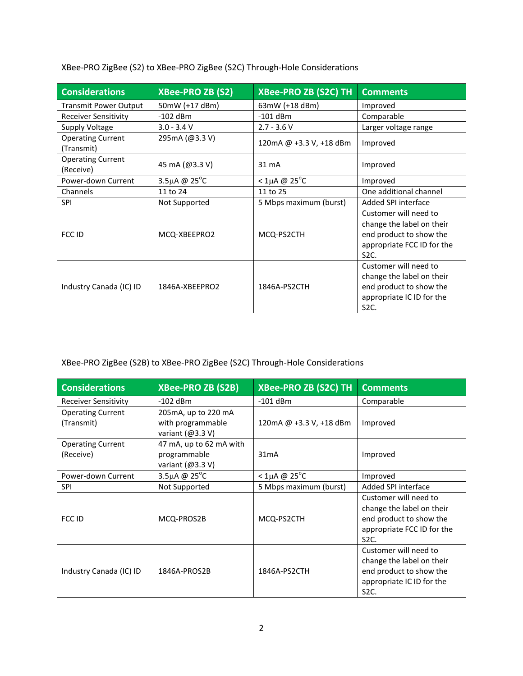XBee-PRO ZigBee (S2) to XBee-PRO ZigBee (S2C) Through-Hole Considerations

| <b>Considerations</b>                  | <b>XBee-PRO ZB (S2)</b> | <b>XBee-PRO ZB (S2C) TH</b> | <b>Comments</b>                                                                                                                  |
|----------------------------------------|-------------------------|-----------------------------|----------------------------------------------------------------------------------------------------------------------------------|
| <b>Transmit Power Output</b>           | 50mW (+17 dBm)          | 63mW (+18 dBm)              | Improved                                                                                                                         |
| <b>Receiver Sensitivity</b>            | $-102$ dBm              | $-101$ dBm                  | Comparable                                                                                                                       |
| <b>Supply Voltage</b>                  | $3.0 - 3.4 V$           | $2.7 - 3.6 V$               | Larger voltage range                                                                                                             |
| <b>Operating Current</b><br>(Transmit) | 295mA (@3.3 V)          | 120mA @ +3.3 V, +18 dBm     | Improved                                                                                                                         |
| <b>Operating Current</b><br>(Receive)  | 45 mA (@3.3 V)          | $31 \text{ mA}$             | Improved                                                                                                                         |
| Power-down Current                     | 3.5µA @ $25^{\circ}$ C  | $<$ 1µA @ 25 $^{\circ}$ C   | Improved                                                                                                                         |
| Channels                               | 11 to 24                | 11 to 25                    | One additional channel                                                                                                           |
| <b>SPI</b>                             | Not Supported           | 5 Mbps maximum (burst)      | Added SPI interface                                                                                                              |
| FCC ID                                 | MCQ-XBEEPRO2            | MCQ-PS2CTH                  | Customer will need to<br>change the label on their<br>end product to show the<br>appropriate FCC ID for the<br>S <sub>2</sub> C. |
| Industry Canada (IC) ID                | 1846A-XBEEPRO2          | 1846A-PS2CTH                | Customer will need to<br>change the label on their<br>end product to show the<br>appropriate IC ID for the<br>S <sub>2</sub> C.  |

XBee-PRO ZigBee (S2B) to XBee-PRO ZigBee (S2C) Through-Hole Considerations

| <b>Considerations</b>                  | <b>XBee-PRO ZB (S2B)</b>                                       | <b>XBee-PRO ZB (S2C) TH</b> | <b>Comments</b>                                                                                                                  |
|----------------------------------------|----------------------------------------------------------------|-----------------------------|----------------------------------------------------------------------------------------------------------------------------------|
| <b>Receiver Sensitivity</b>            | $-102$ dBm                                                     | $-101$ dBm                  | Comparable                                                                                                                       |
| <b>Operating Current</b><br>(Transmit) | 205mA, up to 220 mA<br>with programmable<br>variant $(@3.3 V)$ | 120mA @ +3.3 V, +18 dBm     | Improved                                                                                                                         |
| <b>Operating Current</b><br>(Receive)  | 47 mA, up to 62 mA with<br>programmable<br>variant $(@3.3 V)$  | 31mA                        | Improved                                                                                                                         |
| Power-down Current                     | 3.5µA @ $25^{\circ}$ C                                         | $<$ 1µA @ 25 $^{\circ}$ C   | Improved                                                                                                                         |
| <b>SPI</b>                             | Not Supported                                                  | 5 Mbps maximum (burst)      | Added SPI interface                                                                                                              |
| FCC ID                                 | MCQ-PROS2B                                                     | MCQ-PS2CTH                  | Customer will need to<br>change the label on their<br>end product to show the<br>appropriate FCC ID for the<br>S <sub>2</sub> C. |
| Industry Canada (IC) ID                | 1846A-PROS2B                                                   | 1846A-PS2CTH                | Customer will need to<br>change the label on their<br>end product to show the<br>appropriate IC ID for the<br>S <sub>2</sub> C.  |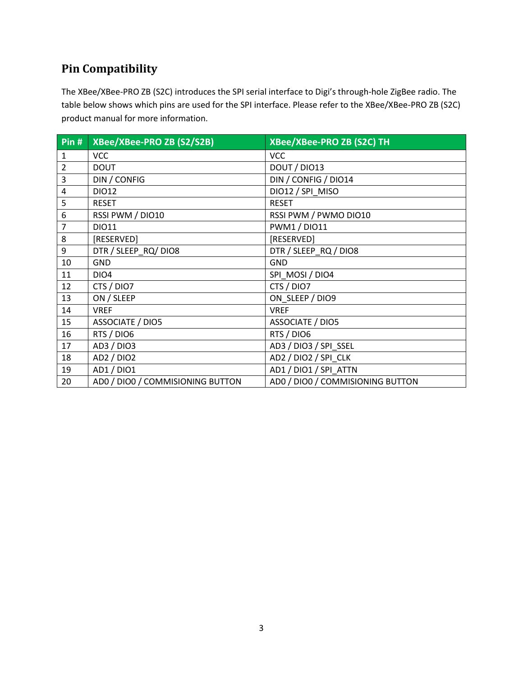## **Pin Compatibility**

The XBee/XBee-PRO ZB (S2C) introduces the SPI serial interface to Digi's through-hole ZigBee radio. The table below shows which pins are used for the SPI interface. Please refer to the XBee/XBee-PRO ZB (S2C) product manual for more information.

| Pin #            | XBee/XBee-PRO ZB (S2/S2B)        | XBee/XBee-PRO ZB (S2C) TH        |
|------------------|----------------------------------|----------------------------------|
| $\mathbf{1}$     | <b>VCC</b>                       | <b>VCC</b>                       |
| $\overline{2}$   | <b>DOUT</b>                      | DOUT / DIO13                     |
| $\overline{3}$   | DIN / CONFIG                     | DIN / CONFIG / DIO14             |
| $\overline{4}$   | DI012                            | DIO12 / SPI MISO                 |
| 5                | <b>RESET</b>                     | <b>RESET</b>                     |
| $\boldsymbol{6}$ | RSSI PWM / DIO10                 | RSSI PWM / PWMO DIO10            |
| $\overline{7}$   | DI011                            | <b>PWM1 / DIO11</b>              |
| $\bf 8$          | [RESERVED]                       | [RESERVED]                       |
| $\boldsymbol{9}$ | DTR / SLEEP_RQ/ DIO8             | DTR / SLEEP_RQ / DIO8            |
| 10               | <b>GND</b>                       | <b>GND</b>                       |
| 11               | DIO <sub>4</sub>                 | SPI MOSI / DIO4                  |
| 12               | CTS / DIO7                       | CTS / DIO7                       |
| 13               | ON / SLEEP                       | ON SLEEP / DIO9                  |
| 14               | <b>VREF</b>                      | <b>VREF</b>                      |
| 15               | ASSOCIATE / DIO5                 | ASSOCIATE / DIO5                 |
| 16               | RTS / DIO6                       | RTS / DIO6                       |
| 17               | AD3 / DIO3                       | AD3 / DIO3 / SPI_SSEL            |
| 18               | AD2 / DIO2                       | AD2 / DIO2 / SPI CLK             |
| 19               | AD1 / DIO1                       | AD1 / DIO1 / SPI ATTN            |
| 20               | AD0 / DIO0 / COMMISIONING BUTTON | AD0 / DIO0 / COMMISIONING BUTTON |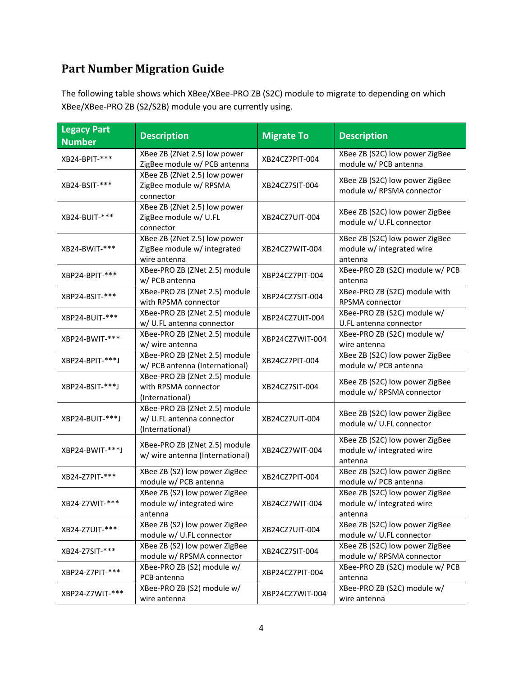## **Part Number Migration Guide**

The following table shows which XBee/XBee-PRO ZB (S2C) module to migrate to depending on which XBee/XBee-PRO ZB (S2/S2B) module you are currently using.

| <b>Legacy Part</b><br><b>Number</b> | <b>Description</b>                                                            | <b>Migrate To</b> | <b>Description</b>                                                     |
|-------------------------------------|-------------------------------------------------------------------------------|-------------------|------------------------------------------------------------------------|
| XB24-BPIT-***                       | XBee ZB (ZNet 2.5) low power<br>ZigBee module w/ PCB antenna                  | XB24CZ7PIT-004    | XBee ZB (S2C) low power ZigBee<br>module w/ PCB antenna                |
| XB24-BSIT-***                       | XBee ZB (ZNet 2.5) low power<br>ZigBee module w/ RPSMA<br>connector           | XB24CZ7SIT-004    | XBee ZB (S2C) low power ZigBee<br>module w/ RPSMA connector            |
| XB24-BUIT-***                       | XBee ZB (ZNet 2.5) low power<br>ZigBee module w/ U.FL<br>connector            | XB24CZ7UIT-004    | XBee ZB (S2C) low power ZigBee<br>module w/ U.FL connector             |
| XB24-BWIT-***                       | XBee ZB (ZNet 2.5) low power<br>ZigBee module w/ integrated<br>wire antenna   | XB24CZ7WIT-004    | XBee ZB (S2C) low power ZigBee<br>module w/ integrated wire<br>antenna |
| XBP24-BPIT-***                      | XBee-PRO ZB (ZNet 2.5) module<br>w/ PCB antenna                               | XBP24CZ7PIT-004   | XBee-PRO ZB (S2C) module w/ PCB<br>antenna                             |
| XBP24-BSIT-***                      | XBee-PRO ZB (ZNet 2.5) module<br>with RPSMA connector                         | XBP24CZ7SIT-004   | XBee-PRO ZB (S2C) module with<br>RPSMA connector                       |
| XBP24-BUIT-***                      | XBee-PRO ZB (ZNet 2.5) module<br>w/ U.FL antenna connector                    | XBP24CZ7UIT-004   | XBee-PRO ZB (S2C) module w/<br>U.FL antenna connector                  |
| XBP24-BWIT-***                      | XBee-PRO ZB (ZNet 2.5) module<br>w/ wire antenna                              | XBP24CZ7WIT-004   | XBee-PRO ZB (S2C) module w/<br>wire antenna                            |
| XBP24-BPIT-***J                     | XBee-PRO ZB (ZNet 2.5) module<br>w/ PCB antenna (International)               | XB24CZ7PIT-004    | XBee ZB (S2C) low power ZigBee<br>module w/ PCB antenna                |
| XBP24-BSIT-***J                     | XBee-PRO ZB (ZNet 2.5) module<br>with RPSMA connector<br>(International)      | XB24CZ7SIT-004    | XBee ZB (S2C) low power ZigBee<br>module w/ RPSMA connector            |
| XBP24-BUIT-***J                     | XBee-PRO ZB (ZNet 2.5) module<br>w/ U.FL antenna connector<br>(International) | XB24CZ7UIT-004    | XBee ZB (S2C) low power ZigBee<br>module w/ U.FL connector             |
| XBP24-BWIT-***J                     | XBee-PRO ZB (ZNet 2.5) module<br>w/ wire antenna (International)              | XB24CZ7WIT-004    | XBee ZB (S2C) low power ZigBee<br>module w/ integrated wire<br>antenna |
| XB24-Z7PIT-***                      | XBee ZB (S2) low power ZigBee<br>module w/ PCB antenna                        | XB24CZ7PIT-004    | XBee ZB (S2C) low power ZigBee<br>module w/ PCB antenna                |
| XB24-Z7WIT-***                      | XBee ZB (S2) low power ZigBee<br>module w/ integrated wire<br>antenna         | XB24CZ7WIT-004    | XBee ZB (S2C) low power ZigBee<br>module w/ integrated wire<br>antenna |
| XB24-Z7UIT-***                      | XBee ZB (S2) low power ZigBee<br>module w/ U.FL connector                     | XB24CZ7UIT-004    | XBee ZB (S2C) low power ZigBee<br>module w/ U.FL connector             |
| XB24-Z7SIT-***                      | XBee ZB (S2) low power ZigBee<br>module w/ RPSMA connector                    | XB24CZ7SIT-004    | XBee ZB (S2C) low power ZigBee<br>module w/ RPSMA connector            |
| XBP24-Z7PIT-***                     | XBee-PRO ZB (S2) module w/<br>PCB antenna                                     | XBP24CZ7PIT-004   | XBee-PRO ZB (S2C) module w/ PCB<br>antenna                             |
| XBP24-Z7WIT-***                     | XBee-PRO ZB (S2) module w/<br>wire antenna                                    | XBP24CZ7WIT-004   | XBee-PRO ZB (S2C) module w/<br>wire antenna                            |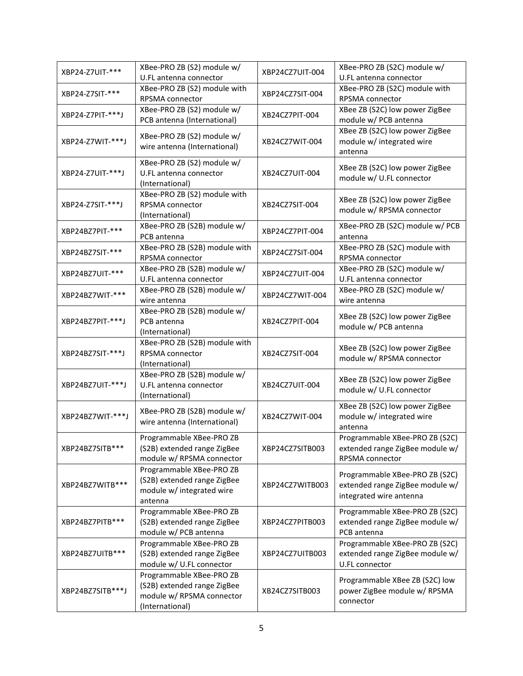| XBP24-Z7UIT-***  | XBee-PRO ZB (S2) module w/<br>U.FL antenna connector                                                    | XBP24CZ7UIT-004 | XBee-PRO ZB (S2C) module w/<br>U.FL antenna connector                                        |
|------------------|---------------------------------------------------------------------------------------------------------|-----------------|----------------------------------------------------------------------------------------------|
| XBP24-Z7SIT-***  | XBee-PRO ZB (S2) module with<br>RPSMA connector                                                         | XBP24CZ7SIT-004 | XBee-PRO ZB (S2C) module with<br>RPSMA connector                                             |
| XBP24-Z7PIT-***J | XBee-PRO ZB (S2) module w/<br>PCB antenna (International)                                               | XB24CZ7PIT-004  | XBee ZB (S2C) low power ZigBee<br>module w/ PCB antenna                                      |
| XBP24-Z7WIT-***J | XBee-PRO ZB (S2) module w/<br>wire antenna (International)                                              | XB24CZ7WIT-004  | XBee ZB (S2C) low power ZigBee<br>module w/ integrated wire<br>antenna                       |
| XBP24-Z7UIT-***J | XBee-PRO ZB (S2) module w/<br>U.FL antenna connector<br>(International)                                 | XB24CZ7UIT-004  | XBee ZB (S2C) low power ZigBee<br>module w/ U.FL connector                                   |
| XBP24-Z7SIT-***J | XBee-PRO ZB (S2) module with<br>RPSMA connector<br>(International)                                      | XB24CZ7SIT-004  | XBee ZB (S2C) low power ZigBee<br>module w/ RPSMA connector                                  |
| XBP24BZ7PIT-***  | XBee-PRO ZB (S2B) module w/<br>PCB antenna                                                              | XBP24CZ7PIT-004 | XBee-PRO ZB (S2C) module w/ PCB<br>antenna                                                   |
| XBP24BZ7SIT-***  | XBee-PRO ZB (S2B) module with<br>RPSMA connector                                                        | XBP24CZ7SIT-004 | XBee-PRO ZB (S2C) module with<br>RPSMA connector                                             |
| XBP24BZ7UIT-***  | XBee-PRO ZB (S2B) module w/<br>U.FL antenna connector                                                   | XBP24CZ7UIT-004 | XBee-PRO ZB (S2C) module w/<br>U.FL antenna connector                                        |
| XBP24BZ7WIT-***  | XBee-PRO ZB (S2B) module w/<br>wire antenna                                                             | XBP24CZ7WIT-004 | XBee-PRO ZB (S2C) module w/<br>wire antenna                                                  |
| XBP24BZ7PIT-***J | XBee-PRO ZB (S2B) module w/<br>PCB antenna<br>(International)                                           | XB24CZ7PIT-004  | XBee ZB (S2C) low power ZigBee<br>module w/ PCB antenna                                      |
| XBP24BZ7SIT-***J | XBee-PRO ZB (S2B) module with<br><b>RPSMA</b> connector<br>(International)                              | XB24CZ7SIT-004  | XBee ZB (S2C) low power ZigBee<br>module w/ RPSMA connector                                  |
| XBP24BZ7UIT-***J | XBee-PRO ZB (S2B) module w/<br>U.FL antenna connector<br>(International)                                | XB24CZ7UIT-004  | XBee ZB (S2C) low power ZigBee<br>module w/ U.FL connector                                   |
| XBP24BZ7WIT-***J | XBee-PRO ZB (S2B) module w/<br>wire antenna (International)                                             | XB24CZ7WIT-004  | XBee ZB (S2C) low power ZigBee<br>module w/ integrated wire<br>antenna                       |
| XBP24BZ7SITB***  | Programmable XBee-PRO ZB<br>(S2B) extended range ZigBee<br>module w/ RPSMA connector                    | XBP24CZ7SITB003 | Programmable XBee-PRO ZB (S2C)<br>extended range ZigBee module w/<br>RPSMA connector         |
| XBP24BZ7WITB***  | Programmable XBee-PRO ZB<br>(S2B) extended range ZigBee<br>module w/ integrated wire<br>antenna         | XBP24CZ7WITB003 | Programmable XBee-PRO ZB (S2C)<br>extended range ZigBee module w/<br>integrated wire antenna |
| XBP24BZ7PITB***  | Programmable XBee-PRO ZB<br>(S2B) extended range ZigBee<br>module w/ PCB antenna                        | XBP24CZ7PITB003 | Programmable XBee-PRO ZB (S2C)<br>extended range ZigBee module w/<br>PCB antenna             |
| XBP24BZ7UITB***  | Programmable XBee-PRO ZB<br>(S2B) extended range ZigBee<br>module w/ U.FL connector                     | XBP24CZ7UITB003 | Programmable XBee-PRO ZB (S2C)<br>extended range ZigBee module w/<br>U.FL connector          |
| XBP24BZ7SITB***J | Programmable XBee-PRO ZB<br>(S2B) extended range ZigBee<br>module w/ RPSMA connector<br>(International) | XB24CZ7SITB003  | Programmable XBee ZB (S2C) low<br>power ZigBee module w/ RPSMA<br>connector                  |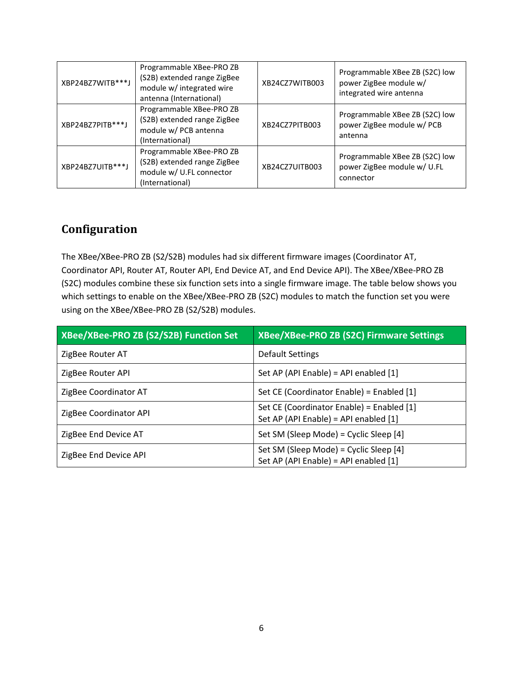| XBP24BZ7WITB***J | Programmable XBee-PRO ZB<br>(S2B) extended range ZigBee<br>module w/ integrated wire<br>antenna (International) | XB24CZ7WITB003 | Programmable XBee ZB (S2C) low<br>power ZigBee module w/<br>integrated wire antenna |
|------------------|-----------------------------------------------------------------------------------------------------------------|----------------|-------------------------------------------------------------------------------------|
| XBP24BZ7PITB***J | Programmable XBee-PRO ZB<br>(S2B) extended range ZigBee<br>module w/ PCB antenna<br>(International)             | XB24CZ7PITB003 | Programmable XBee ZB (S2C) low<br>power ZigBee module w/ PCB<br>antenna             |
| XBP24BZ7UITB***J | Programmable XBee-PRO ZB<br>(S2B) extended range ZigBee<br>module w/ U.FL connector<br>(International)          | XB24CZ7UITB003 | Programmable XBee ZB (S2C) low<br>power ZigBee module w/ U.FL<br>connector          |

## **Configuration**

The XBee/XBee-PRO ZB (S2/S2B) modules had six different firmware images (Coordinator AT, Coordinator API, Router AT, Router API, End Device AT, and End Device API). The XBee/XBee-PRO ZB (S2C) modules combine these six function sets into a single firmware image. The table below shows you which settings to enable on the XBee/XBee-PRO ZB (S2C) modules to match the function set you were using on the XBee/XBee-PRO ZB (S2/S2B) modules.

| XBee/XBee-PRO ZB (S2/S2B) Function Set | <b>XBee/XBee-PRO ZB (S2C) Firmware Settings</b>                                    |
|----------------------------------------|------------------------------------------------------------------------------------|
| ZigBee Router AT                       | <b>Default Settings</b>                                                            |
| ZigBee Router API                      | Set AP (API Enable) = API enabled [1]                                              |
| ZigBee Coordinator AT                  | Set CE (Coordinator Enable) = Enabled [1]                                          |
| ZigBee Coordinator API                 | Set CE (Coordinator Enable) = Enabled [1]<br>Set AP (API Enable) = API enabled [1] |
| ZigBee End Device AT                   | Set SM (Sleep Mode) = Cyclic Sleep [4]                                             |
| ZigBee End Device API                  | Set SM (Sleep Mode) = Cyclic Sleep [4]<br>Set AP (API Enable) = API enabled [1]    |